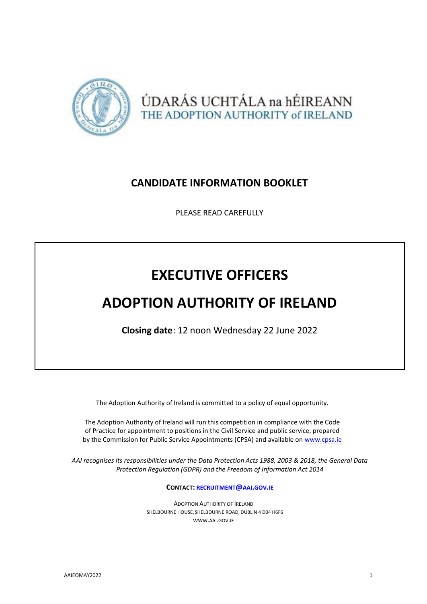

ÚDARÁS UCHTÁLA na hÉIREANN THE ADOPTION AUTHORITY of IRELAND

# **CANDIDATE INFORMATION BOOKLET**

PLEASE READ CAREFULLY

# **EXECUTIVE OFFICERS**

# **ADOPTION AUTHORITY OF IRELAND**

**Closing date**: 12 noon Wednesday 22 June 2022

The Adoption Authority of Ireland is committed to a policy of equal opportunity.

The Adoption Authority of Ireland will run this competition in compliance with the Code of Practice for appointment to positions in the Civil Service and public service, prepared by the Commission for Public Service Appointments (CPSA) and available on [www.cpsa.ie](http://www.cpsa.ie/)

*AAI recognises its responsibilities under the Data Protection Acts 1988, 2003 & 2018, the General Data Protection Regulation (GDPR) and the Freedom of Information Act 2014*

**CONTACT: [RECRUITMENT](mailto:recruitment@aai.gov.ie)@AAI.GOV.IE**

ADOPTION AUTHORITY OF IRELAND SHELBOURNE HOUSE, SHELBOURNE ROAD, DUBLIN 4 D04 H6F6 [WWW](http://www.aai.gov.ie/).AAI.GOV.IE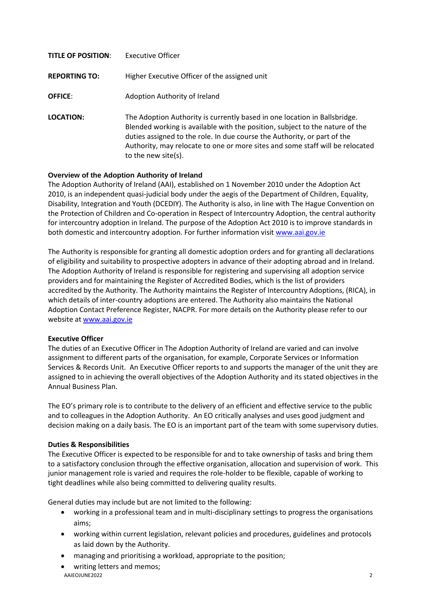| <b>TITLE OF POSITION:</b> | Executive Officer                                                                                                                                                                                                                                                                                                                             |
|---------------------------|-----------------------------------------------------------------------------------------------------------------------------------------------------------------------------------------------------------------------------------------------------------------------------------------------------------------------------------------------|
| <b>REPORTING TO:</b>      | Higher Executive Officer of the assigned unit                                                                                                                                                                                                                                                                                                 |
| <b>OFFICE:</b>            | Adoption Authority of Ireland                                                                                                                                                                                                                                                                                                                 |
| LOCATION:                 | The Adoption Authority is currently based in one location in Ballsbridge.<br>Blended working is available with the position, subject to the nature of the<br>duties assigned to the role. In due course the Authority, or part of the<br>Authority, may relocate to one or more sites and some staff will be relocated<br>to the new site(s). |

# **Overview of the Adoption Authority of Ireland**

The Adoption Authority of Ireland (AAI), established on 1 November 2010 under the Adoption Act 2010, is an independent quasi-judicial body under the aegis of the Department of Children, Equality, Disability, Integration and Youth (DCEDIY). The Authority is also, in line with The Hague Convention on the Protection of Children and Co-operation in Respect of Intercountry Adoption, the central authority for intercountry adoption in Ireland. The purpose of the Adoption Act 2010 is to improve standards in both domestic and intercountry adoption. For further information visit [www.aai.gov.ie](http://www.aai.gov.ie/)

The Authority is responsible for granting all domestic adoption orders and for granting all declarations of eligibility and suitability to prospective adopters in advance of their adopting abroad and in Ireland. The Adoption Authority of Ireland is responsible for registering and supervising all adoption service providers and for maintaining the Register of Accredited Bodies, which is the list of providers accredited by the Authority. The Authority maintains the Register of Intercountry Adoptions, (RICA), in which details of inter-country adoptions are entered. The Authority also maintains the National Adoption Contact Preference Register, NACPR. For more details on the Authority please refer to our website at [www.aai.gov.ie](http://www.aai.gov.ie/)

# **Executive Officer**

The duties of an Executive Officer in The Adoption Authority of Ireland are varied and can involve assignment to different parts of the organisation, for example, Corporate Services or Information Services & Records Unit. An Executive Officer reports to and supports the manager of the unit they are assigned to in achieving the overall objectives of the Adoption Authority and its stated objectives in the Annual Business Plan.

The EO's primary role is to contribute to the delivery of an efficient and effective service to the public and to colleagues in the Adoption Authority. An EO critically analyses and uses good judgment and decision making on a daily basis. The EO is an important part of the team with some supervisory duties.

# **Duties & Responsibilities**

The Executive Officer is expected to be responsible for and to take ownership of tasks and bring them to a satisfactory conclusion through the effective organisation, allocation and supervision of work. This junior management role is varied and requires the role-holder to be flexible, capable of working to tight deadlines while also being committed to delivering quality results.

General duties may include but are not limited to the following:

- working in a professional team and in multi-disciplinary settings to progress the organisations aims;
- working within current legislation, relevant policies and procedures, guidelines and protocols as laid down by the Authority.
- managing and prioritising a workload, appropriate to the position;
- AAIEOJUNE2022 2 writing letters and memos;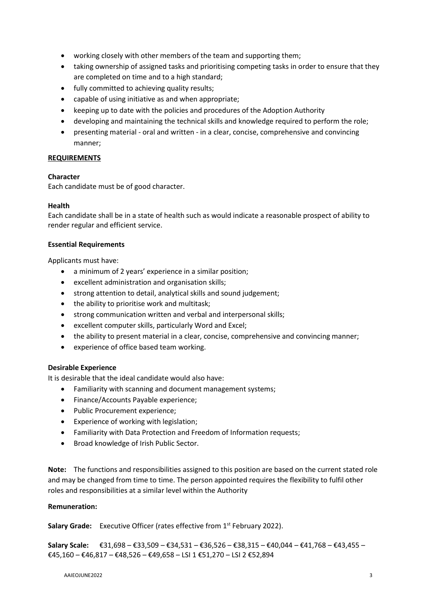- working closely with other members of the team and supporting them;
- taking ownership of assigned tasks and prioritising competing tasks in order to ensure that they are completed on time and to a high standard;
- fully committed to achieving quality results;
- capable of using initiative as and when appropriate;
- keeping up to date with the policies and procedures of the Adoption Authority
- developing and maintaining the technical skills and knowledge required to perform the role;
- presenting material oral and written in a clear, concise, comprehensive and convincing manner;

#### **REQUIREMENTS**

#### **Character**

Each candidate must be of good character.

#### **Health**

Each candidate shall be in a state of health such as would indicate a reasonable prospect of ability to render regular and efficient service.

#### **Essential Requirements**

Applicants must have:

- a minimum of 2 years' experience in a similar position;
- excellent administration and organisation skills;
- strong attention to detail, analytical skills and sound judgement;
- the ability to prioritise work and multitask;
- strong communication written and verbal and interpersonal skills;
- excellent computer skills, particularly Word and Excel;
- the ability to present material in a clear, concise, comprehensive and convincing manner;
- experience of office based team working.

# **Desirable Experience**

It is desirable that the ideal candidate would also have:

- Familiarity with scanning and document management systems;
- Finance/Accounts Payable experience;
- Public Procurement experience;
- Experience of working with legislation;
- Familiarity with Data Protection and Freedom of Information requests;
- Broad knowledge of Irish Public Sector.

**Note:** The functions and responsibilities assigned to this position are based on the current stated role and may be changed from time to time. The person appointed requires the flexibility to fulfil other roles and responsibilities at a similar level within the Authority

# **Remuneration:**

Salary Grade: Executive Officer (rates effective from 1<sup>st</sup> February 2022).

**Salary Scale:** €31,698 – €33,509 – €34,531 – €36,526 – €38,315 – €40,044 – €41,768 – €43,455 – €45,160 – €46,817 – €48,526 – €49,658 – LSI 1 €51,270 – LSI 2 €52,894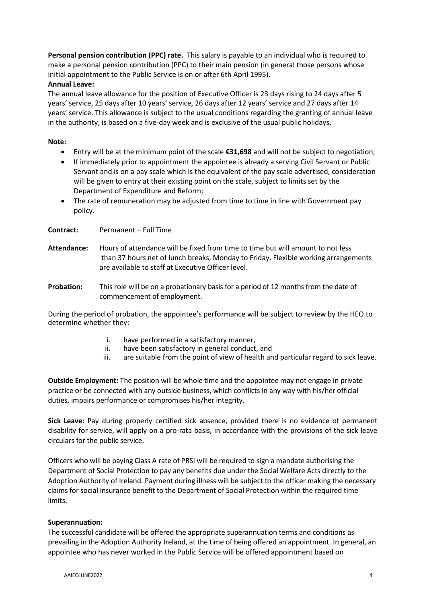**Personal pension contribution (PPC) rate.** This salary is payable to an individual who is required to make a personal pension contribution (PPC) to their main pension (in general those persons whose initial appointment to the Public Service is on or after 6th April 1995).

# **Annual Leave:**

The annual leave allowance for the position of Executive Officer is 23 days rising to 24 days after 5 years' service, 25 days after 10 years' service, 26 days after 12 years' service and 27 days after 14 years' service. This allowance is subject to the usual conditions regarding the granting of annual leave in the authority, is based on a five-day week and is exclusive of the usual public holidays.

# **Note:**

- Entry will be at the minimum point of the scale **€31,698** and will not be subject to negotiation;
- If immediately prior to appointment the appointee is already a serving Civil Servant or Public Servant and is on a pay scale which is the equivalent of the pay scale advertised, consideration will be given to entry at their existing point on the scale, subject to limits set by the Department of Expenditure and Reform;
- The rate of remuneration may be adjusted from time to time in line with Government pay policy.

**Contract:** Permanent – Full Time

- **Attendance:** Hours of attendance will be fixed from time to time but will amount to not less than 37 hours net of lunch breaks, Monday to Friday. Flexible working arrangements are available to staff at Executive Officer level.
- **Probation:** This role will be on a probationary basis for a period of 12 months from the date of commencement of employment.

During the period of probation, the appointee's performance will be subject to review by the HEO to determine whether they:

- i. have performed in a satisfactory manner,
- ii. have been satisfactory in general conduct, and
- iii. are suitable from the point of view of health and particular regard to sick leave.

**Outside Employment:** The position will be whole time and the appointee may not engage in private practice or be connected with any outside business, which conflicts in any way with his/her official duties, impairs performance or compromises his/her integrity.

**Sick Leave:** Pay during properly certified sick absence, provided there is no evidence of permanent disability for service, will apply on a pro-rata basis, in accordance with the provisions of the sick leave circulars for the public service.

Officers who will be paying Class A rate of PRSI will be required to sign a mandate authorising the Department of Social Protection to pay any benefits due under the Social Welfare Acts directly to the Adoption Authority of Ireland. Payment during illness will be subject to the officer making the necessary claims for social insurance benefit to the Department of Social Protection within the required time limits.

# **Superannuation:**

The successful candidate will be offered the appropriate superannuation terms and conditions as prevailing in the Adoption Authority Ireland, at the time of being offered an appointment. In general, an appointee who has never worked in the Public Service will be offered appointment based on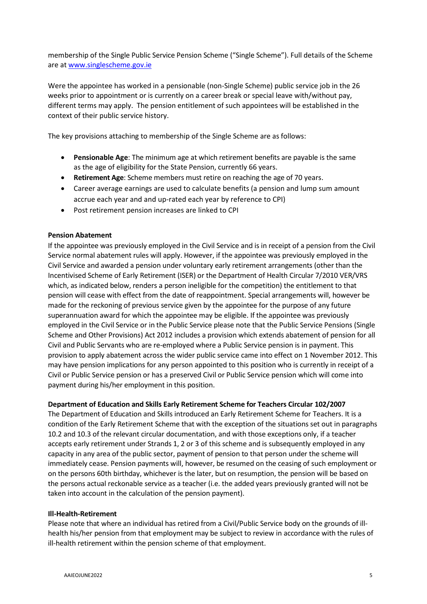membership of the Single Public Service Pension Scheme ("Single Scheme"). Full details of the Scheme are a[t www.singlescheme.gov.ie](http://www.singlescheme.gov.ie/)

Were the appointee has worked in a pensionable (non-Single Scheme) public service job in the 26 weeks prior to appointment or is currently on a career break or special leave with/without pay, different terms may apply. The pension entitlement of such appointees will be established in the context of their public service history.

The key provisions attaching to membership of the Single Scheme are as follows:

- **Pensionable Age**: The minimum age at which retirement benefits are payable is the same as the age of eligibility for the State Pension, currently 66 years.
- **Retirement Age**: Scheme members must retire on reaching the age of 70 years.
- Career average earnings are used to calculate benefits (a pension and lump sum amount accrue each year and and up-rated each year by reference to CPI)
- Post retirement pension increases are linked to CPI

# **Pension Abatement**

If the appointee was previously employed in the Civil Service and is in receipt of a pension from the Civil Service normal abatement rules will apply. However, if the appointee was previously employed in the Civil Service and awarded a pension under voluntary early retirement arrangements (other than the Incentivised Scheme of Early Retirement (ISER) or the Department of Health Circular 7/2010 VER/VRS which, as indicated below, renders a person ineligible for the competition) the entitlement to that pension will cease with effect from the date of reappointment. Special arrangements will, however be made for the reckoning of previous service given by the appointee for the purpose of any future superannuation award for which the appointee may be eligible. If the appointee was previously employed in the Civil Service or in the Public Service please note that the Public Service Pensions (Single Scheme and Other Provisions) Act 2012 includes a provision which extends abatement of pension for all Civil and Public Servants who are re-employed where a Public Service pension is in payment. This provision to apply abatement across the wider public service came into effect on 1 November 2012. This may have pension implications for any person appointed to this position who is currently in receipt of a Civil or Public Service pension or has a preserved Civil or Public Service pension which will come into payment during his/her employment in this position.

# **Department of Education and Skills Early Retirement Scheme for Teachers Circular 102/2007**

The Department of Education and Skills introduced an Early Retirement Scheme for Teachers. It is a condition of the Early Retirement Scheme that with the exception of the situations set out in paragraphs 10.2 and 10.3 of the relevant circular documentation, and with those exceptions only, if a teacher accepts early retirement under Strands 1, 2 or 3 of this scheme and is subsequently employed in any capacity in any area of the public sector, payment of pension to that person under the scheme will immediately cease. Pension payments will, however, be resumed on the ceasing of such employment or on the persons 60th birthday, whichever is the later, but on resumption, the pension will be based on the persons actual reckonable service as a teacher (i.e. the added years previously granted will not be taken into account in the calculation of the pension payment).

# **Ill-Health-Retirement**

Please note that where an individual has retired from a Civil/Public Service body on the grounds of illhealth his/her pension from that employment may be subject to review in accordance with the rules of ill-health retirement within the pension scheme of that employment.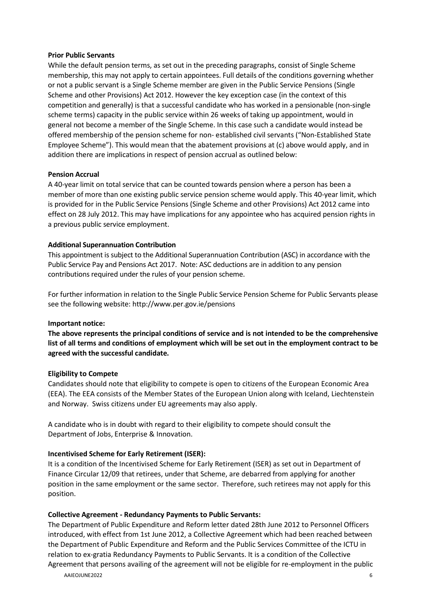#### **Prior Public Servants**

While the default pension terms, as set out in the preceding paragraphs, consist of Single Scheme membership, this may not apply to certain appointees. Full details of the conditions governing whether or not a public servant is a Single Scheme member are given in the Public Service Pensions (Single Scheme and other Provisions) Act 2012. However the key exception case (in the context of this competition and generally) is that a successful candidate who has worked in a pensionable (non-single scheme terms) capacity in the public service within 26 weeks of taking up appointment, would in general not become a member of the Single Scheme. In this case such a candidate would instead be offered membership of the pension scheme for non- established civil servants ("Non-Established State Employee Scheme"). This would mean that the abatement provisions at (c) above would apply, and in addition there are implications in respect of pension accrual as outlined below:

#### **Pension Accrual**

A 40-year limit on total service that can be counted towards pension where a person has been a member of more than one existing public service pension scheme would apply. This 40-year limit, which is provided for in the Public Service Pensions (Single Scheme and other Provisions) Act 2012 came into effect on 28 July 2012. This may have implications for any appointee who has acquired pension rights in a previous public service employment.

#### **Additional Superannuation Contribution**

This appointment is subject to the Additional Superannuation Contribution (ASC) in accordance with the Public Service Pay and Pensions Act 2017. Note: ASC deductions are in addition to any pension contributions required under the rules of your pension scheme.

For further information in relation to the Single Public Service Pension Scheme for Public Servants please see the following website: <http://www.per.gov.ie/pensions>

#### **Important notice:**

**The above represents the principal conditions of service and is not intended to be the comprehensive** list of all terms and conditions of employment which will be set out in the employment contract to be **agreed with the successful candidate.**

#### **Eligibility to Compete**

Candidates should note that eligibility to compete is open to citizens of the European Economic Area (EEA). The EEA consists of the Member States of the European Union along with Iceland, Liechtenstein and Norway. Swiss citizens under EU agreements may also apply.

A candidate who is in doubt with regard to their eligibility to compete should consult the Department of Jobs, Enterprise & Innovation.

# **Incentivised Scheme for Early Retirement (ISER):**

It is a condition of the Incentivised Scheme for Early Retirement (ISER) as set out in Department of Finance Circular 12/09 that retirees, under that Scheme, are debarred from applying for another position in the same employment or the same sector. Therefore, such retirees may not apply for this position.

#### **Collective Agreement - Redundancy Payments to Public Servants:**

The Department of Public Expenditure and Reform letter dated 28th June 2012 to Personnel Officers introduced, with effect from 1st June 2012, a Collective Agreement which had been reached between the Department of Public Expenditure and Reform and the Public Services Committee of the ICTU in relation to ex-gratia Redundancy Payments to Public Servants. It is a condition of the Collective Agreement that persons availing of the agreement will not be eligible for re-employment in the public

AAIEOJUNE2022 6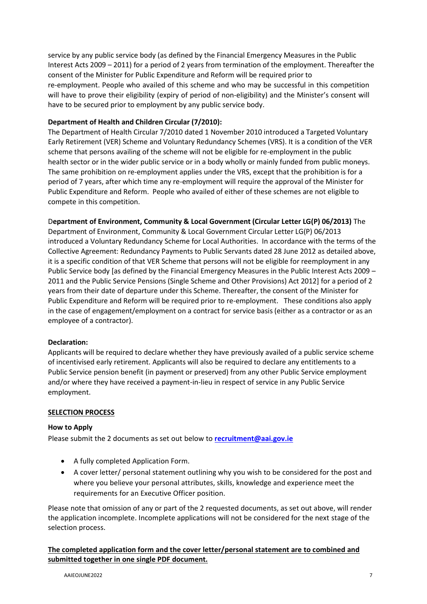service by any public service body (as defined by the Financial Emergency Measures in the Public Interest Acts 2009 – 2011) for a period of 2 years from termination of the employment. Thereafter the consent of the Minister for Public Expenditure and Reform will be required prior to re-employment. People who availed of this scheme and who may be successful in this competition will have to prove their eligibility (expiry of period of non-eligibility) and the Minister's consent will have to be secured prior to employment by any public service body.

# **Department of Health and Children Circular (7/2010):**

The Department of Health Circular 7/2010 dated 1 November 2010 introduced a Targeted Voluntary Early Retirement (VER) Scheme and Voluntary Redundancy Schemes (VRS). It is a condition of the VER scheme that persons availing of the scheme will not be eligible for re-employment in the public health sector or in the wider public service or in a body wholly or mainly funded from public moneys. The same prohibition on re-employment applies under the VRS, except that the prohibition is for a period of 7 years, after which time any re-employment will require the approval of the Minister for Public Expenditure and Reform. People who availed of either of these schemes are not eligible to compete in this competition.

# D**epartment of Environment, Community & Local Government (Circular Letter LG(P) 06/2013)** The

Department of Environment, Community & Local Government Circular Letter LG(P) 06/2013 introduced a Voluntary Redundancy Scheme for Local Authorities. In accordance with the terms of the Collective Agreement: Redundancy Payments to Public Servants dated 28 June 2012 as detailed above, it is a specific condition of that VER Scheme that persons will not be eligible for reemployment in any Public Service body [as defined by the Financial Emergency Measures in the Public Interest Acts 2009 – 2011 and the Public Service Pensions (Single Scheme and Other Provisions) Act 2012] for a period of 2 years from their date of departure under this Scheme. Thereafter, the consent of the Minister for Public Expenditure and Reform will be required prior to re-employment. These conditions also apply in the case of engagement/employment on a contract for service basis (either as a contractor or as an employee of a contractor).

# **Declaration:**

Applicants will be required to declare whether they have previously availed of a public service scheme of incentivised early retirement. Applicants will also be required to declare any entitlements to a Public Service pension benefit (in payment or preserved) from any other Public Service employment and/or where they have received a payment-in-lieu in respect of service in any Public Service employment.

# **SELECTION PROCESS**

# **How to Apply**

Please submit the 2 documents as set out below to **[recruitment@aai.gov.ie](mailto:recruitment@aai.gov.ie)**

- A fully completed Application Form.
- A cover letter/ personal statement outlining why you wish to be considered for the post and where you believe your personal attributes, skills, knowledge and experience meet the requirements for an Executive Officer position.

Please note that omission of any or part of the 2 requested documents, as set out above, will render the application incomplete. Incomplete applications will not be considered for the next stage of the selection process.

**The completed application form and the cover letter/personal statement are to combined and submitted together in one single PDF document.**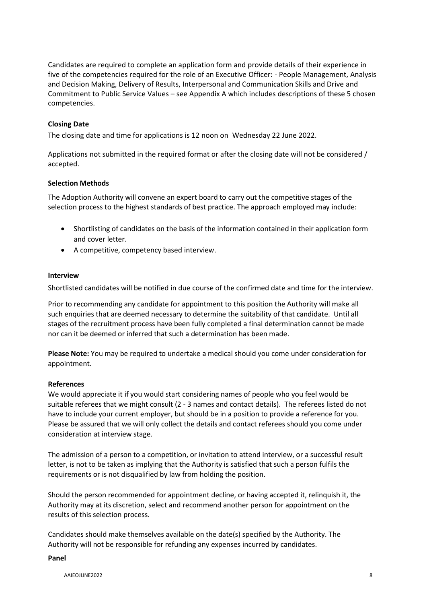Candidates are required to complete an application form and provide details of their experience in five of the competencies required for the role of an Executive Officer: - People Management, Analysis and Decision Making, Delivery of Results, Interpersonal and Communication Skills and Drive and Commitment to Public Service Values – see Appendix A which includes descriptions of these 5 chosen competencies.

# **Closing Date**

The closing date and time for applications is 12 noon on Wednesday 22 June 2022.

Applications not submitted in the required format or after the closing date will not be considered / accepted.

# **Selection Methods**

The Adoption Authority will convene an expert board to carry out the competitive stages of the selection process to the highest standards of best practice. The approach employed may include:

- Shortlisting of candidates on the basis of the information contained in their application form and cover letter.
- A competitive, competency based interview.

# **Interview**

Shortlisted candidates will be notified in due course of the confirmed date and time for the interview.

Prior to recommending any candidate for appointment to this position the Authority will make all such enquiries that are deemed necessary to determine the suitability of that candidate. Until all stages of the recruitment process have been fully completed a final determination cannot be made nor can it be deemed or inferred that such a determination has been made.

**Please Note:** You may be required to undertake a medical should you come under consideration for appointment.

# **References**

We would appreciate it if you would start considering names of people who you feel would be suitable referees that we might consult (2 - 3 names and contact details). The referees listed do not have to include your current employer, but should be in a position to provide a reference for you. Please be assured that we will only collect the details and contact referees should you come under consideration at interview stage.

The admission of a person to a competition, or invitation to attend interview, or a successful result letter, is not to be taken as implying that the Authority is satisfied that such a person fulfils the requirements or is not disqualified by law from holding the position.

Should the person recommended for appointment decline, or having accepted it, relinquish it, the Authority may at its discretion, select and recommend another person for appointment on the results of this selection process.

Candidates should make themselves available on the date(s) specified by the Authority. The Authority will not be responsible for refunding any expenses incurred by candidates.

#### **Panel**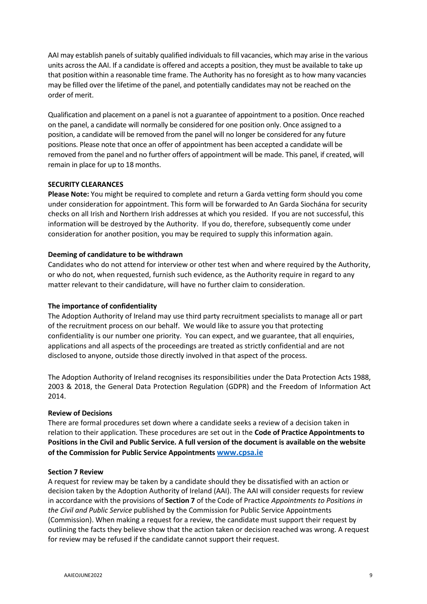AAI may establish panels of suitably qualified individuals to fill vacancies, which may arise in the various units across the AAI. If a candidate is offered and accepts a position, they must be available to take up that position within a reasonable time frame. The Authority has no foresight as to how many vacancies may be filled over the lifetime of the panel, and potentially candidates may not be reached on the order of merit.

Qualification and placement on a panel is not a guarantee of appointment to a position. Once reached on the panel, a candidate will normally be considered for one position only. Once assigned to a position, a candidate will be removed from the panel will no longer be considered for any future positions. Please note that once an offer of appointment has been accepted a candidate will be removed from the panel and no further offers of appointment will be made. This panel, if created, will remain in place for up to 18 months.

# **SECURITY CLEARANCES**

**Please Note:** You might be required to complete and return a Garda vetting form should you come under consideration for appointment. This form will be forwarded to An Garda Siochána for security checks on all Irish and Northern Irish addresses at which you resided. If you are not successful, this information will be destroyed by the Authority. If you do, therefore, subsequently come under consideration for another position, you may be required to supply this information again.

# **Deeming of candidature to be withdrawn**

Candidates who do not attend for interview or other test when and where required by the Authority, or who do not, when requested, furnish such evidence, as the Authority require in regard to any matter relevant to their candidature, will have no further claim to consideration.

# **The importance of confidentiality**

The Adoption Authority of Ireland may use third party recruitment specialists to manage all or part of the recruitment process on our behalf. We would like to assure you that protecting confidentiality is our number one priority. You can expect, and we guarantee, that all enquiries, applications and all aspects of the proceedings are treated as strictly confidential and are not disclosed to anyone, outside those directly involved in that aspect of the process.

The Adoption Authority of Ireland recognises its responsibilities under the Data Protection Acts 1988, 2003 & 2018, the General Data Protection Regulation (GDPR) and the Freedom of Information Act 2014.

# **Review of Decisions**

There are formal procedures set down where a candidate seeks a review of a decision taken in relation to their application. These procedures are set out in the **Code of Practice Appointments to Positions in the Civil and Public Service. A full version of the document is available on the website of the Commission for Public Service Appointments [www.cpsa.ie](http://www.cpsa.ie/)**

# **Section 7 Review**

A request for review may be taken by a candidate should they be dissatisfied with an action or decision taken by the Adoption Authority of Ireland (AAI). The AAI will consider requests for review in accordance with the provisions of **Section 7** of the Code of Practice *Appointments to Positions in the Civil and Public Service* published by the Commission for Public Service Appointments (Commission). When making a request for a review, the candidate must support their request by outlining the facts they believe show that the action taken or decision reached was wrong. A request for review may be refused if the candidate cannot support their request.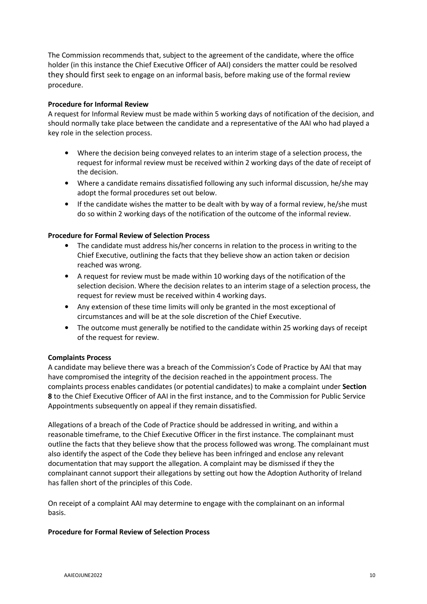The Commission recommends that, subject to the agreement of the candidate, where the office holder (in this instance the Chief Executive Officer of AAI) considers the matter could be resolved they should first seek to engage on an informal basis, before making use of the formal review procedure.

# **Procedure for Informal Review**

A request for Informal Review must be made within 5 working days of notification of the decision, and should normally take place between the candidate and a representative of the AAI who had played a key role in the selection process.

- Where the decision being conveyed relates to an interim stage of a selection process, the request for informal review must be received within 2 working days of the date of receipt of the decision.
- Where a candidate remains dissatisfied following any such informal discussion, he/she may adopt the formal procedures set out below.
- If the candidate wishes the matter to be dealt with by way of a formal review, he/she must do so within 2 working days of the notification of the outcome of the informal review.

# **Procedure for Formal Review of Selection Process**

- The candidate must address his/her concerns in relation to the process in writing to the Chief Executive, outlining the facts that they believe show an action taken or decision reached was wrong.
- A request for review must be made within 10 working days of the notification of the selection decision. Where the decision relates to an interim stage of a selection process, the request for review must be received within 4 working days.
- Any extension of these time limits will only be granted in the most exceptional of circumstances and will be at the sole discretion of the Chief Executive.
- The outcome must generally be notified to the candidate within 25 working days of receipt of the request for review.

# **Complaints Process**

A candidate may believe there was a breach of the Commission's Code of Practice by AAI that may have compromised the integrity of the decision reached in the appointment process. The complaints process enables candidates (or potential candidates) to make a complaint under **Section 8** to the Chief Executive Officer of AAI in the first instance, and to the Commission for Public Service Appointments subsequently on appeal if they remain dissatisfied.

Allegations of a breach of the Code of Practice should be addressed in writing, and within a reasonable timeframe, to the Chief Executive Officer in the first instance. The complainant must outline the facts that they believe show that the process followed was wrong. The complainant must also identify the aspect of the Code they believe has been infringed and enclose any relevant documentation that may support the allegation. A complaint may be dismissed if they the complainant cannot support their allegations by setting out how the Adoption Authority of Ireland has fallen short of the principles of this Code.

On receipt of a complaint AAI may determine to engage with the complainant on an informal basis.

# **Procedure for Formal Review of Selection Process**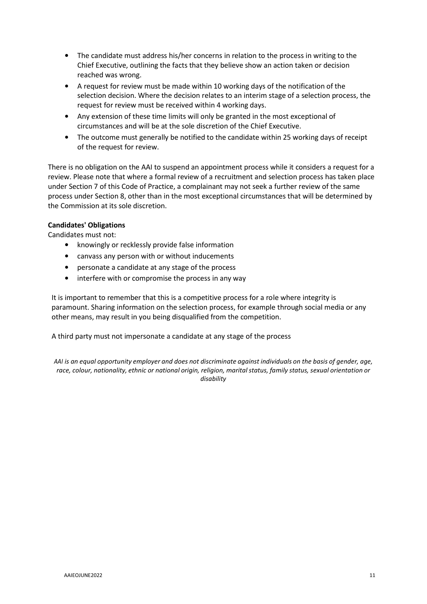- The candidate must address his/her concerns in relation to the process in writing to the Chief Executive, outlining the facts that they believe show an action taken or decision reached was wrong.
- A request for review must be made within 10 working days of the notification of the selection decision. Where the decision relates to an interim stage of a selection process, the request for review must be received within 4 working days.
- Any extension of these time limits will only be granted in the most exceptional of circumstances and will be at the sole discretion of the Chief Executive.
- The outcome must generally be notified to the candidate within 25 working days of receipt of the request for review.

There is no obligation on the AAI to suspend an appointment process while it considers a request for a review. Please note that where a formal review of a recruitment and selection process has taken place under Section 7 of this Code of Practice, a complainant may not seek a further review of the same process under Section 8, other than in the most exceptional circumstances that will be determined by the Commission at its sole discretion.

# **Candidates' Obligations**

Candidates must not:

- knowingly or recklessly provide false information
- canvass any person with or without inducements
- personate a candidate at any stage of the process
- interfere with or compromise the process in any way

It is important to remember that this is a competitive process for a role where integrity is paramount. Sharing information on the selection process, for example through social media or any other means, may result in you being disqualified from the competition.

A third party must not impersonate a candidate at any stage of the process

AAI is an equal opportunity employer and does not discriminate against individuals on the basis of gender, age, *race, colour, nationality, ethnic or national origin, religion, marital status, family status, sexual orientation or disability*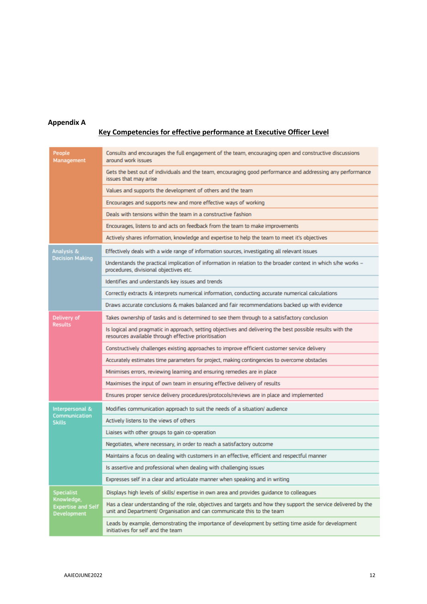# **Appendix A**

# **Key Competencies for effective performance at Executive Officer Level**

| People<br>Management                                                               | Consults and encourages the full engagement of the team, encouraging open and constructive discussions<br>around work issues                                                              |
|------------------------------------------------------------------------------------|-------------------------------------------------------------------------------------------------------------------------------------------------------------------------------------------|
|                                                                                    | Gets the best out of individuals and the team, encouraging good performance and addressing any performance<br>issues that may arise                                                       |
|                                                                                    | Values and supports the development of others and the team                                                                                                                                |
|                                                                                    | Encourages and supports new and more effective ways of working                                                                                                                            |
|                                                                                    | Deals with tensions within the team in a constructive fashion                                                                                                                             |
|                                                                                    | Encourages, listens to and acts on feedback from the team to make improvements                                                                                                            |
|                                                                                    | Actively shares information, knowledge and expertise to help the team to meet it's objectives                                                                                             |
| Analysis &<br><b>Decision Making</b>                                               | Effectively deals with a wide range of information sources, investigating all relevant issues                                                                                             |
|                                                                                    | Understands the practical implication of information in relation to the broader context in which s/he works -<br>procedures, divisional objectives etc.                                   |
|                                                                                    | Identifies and understands key issues and trends                                                                                                                                          |
|                                                                                    | Correctly extracts & interprets numerical information, conducting accurate numerical calculations                                                                                         |
|                                                                                    | Draws accurate conclusions & makes balanced and fair recommendations backed up with evidence                                                                                              |
| Delivery of                                                                        | Takes ownership of tasks and is determined to see them through to a satisfactory conclusion                                                                                               |
| <b>Results</b>                                                                     | Is logical and pragmatic in approach, setting objectives and delivering the best possible results with the<br>resources available through effective prioritisation                        |
|                                                                                    | Constructively challenges existing approaches to improve efficient customer service delivery                                                                                              |
|                                                                                    | Accurately estimates time parameters for project, making contingencies to overcome obstacles                                                                                              |
|                                                                                    | Minimises errors, reviewing learning and ensuring remedies are in place                                                                                                                   |
|                                                                                    | Maximises the input of own team in ensuring effective delivery of results                                                                                                                 |
|                                                                                    | Ensures proper service delivery procedures/protocols/reviews are in place and implemented                                                                                                 |
| Interpersonal &<br><b>Communication</b><br><b>Skills</b>                           | Modifies communication approach to suit the needs of a situation/ audience                                                                                                                |
|                                                                                    | Actively listens to the views of others                                                                                                                                                   |
|                                                                                    | Liaises with other groups to gain co-operation                                                                                                                                            |
|                                                                                    | Negotiates, where necessary, in order to reach a satisfactory outcome                                                                                                                     |
|                                                                                    | Maintains a focus on dealing with customers in an effective, efficient and respectful manner                                                                                              |
|                                                                                    | Is assertive and professional when dealing with challenging issues                                                                                                                        |
|                                                                                    | Expresses self in a clear and articulate manner when speaking and in writing                                                                                                              |
| <b>Specialist</b><br>Knowledge,<br><b>Expertise and Self</b><br><b>Development</b> | Displays high levels of skills/ expertise in own area and provides quidance to colleagues                                                                                                 |
|                                                                                    | Has a clear understanding of the role, objectives and targets and how they support the service delivered by the<br>unit and Department/ Organisation and can communicate this to the team |
|                                                                                    | Leads by example, demonstrating the importance of development by setting time aside for development<br>initiatives for self and the team                                                  |